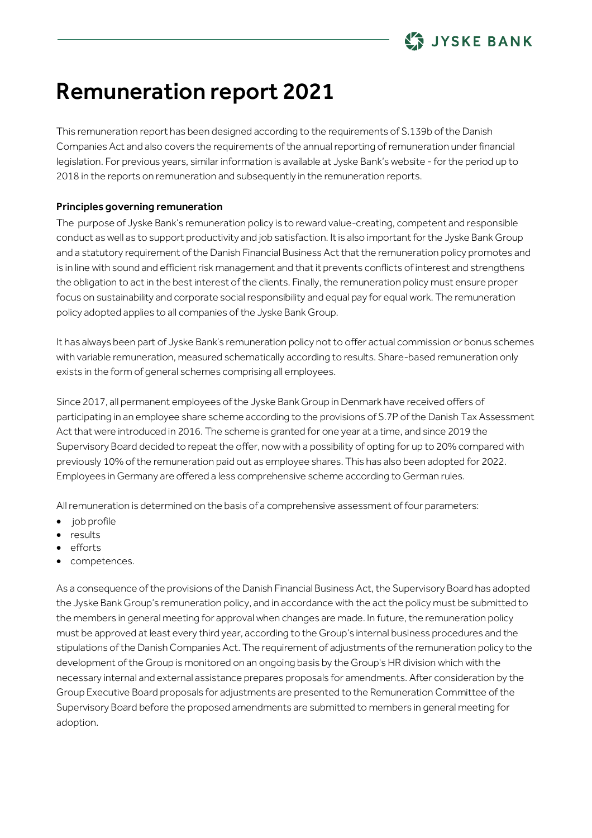

# Remuneration report 2021

This remuneration report has been designed according to the requirements of S.139b of the Danish Companies Act and also covers the requirements of the annual reporting of remuneration under financial legislation. For previous years, similar information is available at Jyske Bank's website - for the period up to 2018 in the reports on remuneration and subsequently in the remuneration reports.

### Principles governing remuneration

The purpose of Jyske Bank's remuneration policy is to reward value-creating, competent and responsible conduct as well as to support productivity and job satisfaction. It is also important for the Jyske Bank Group and a statutory requirement of the Danish Financial Business Act that the remuneration policy promotes and is in line with sound and efficient risk management and that it prevents conflicts of interest and strengthens the obligation to act in the best interest of the clients. Finally, the remuneration policy must ensure proper focus on sustainability and corporate social responsibility and equal pay for equal work. The remuneration policy adopted applies to all companies of the Jyske Bank Group.

It has always been part of Jyske Bank's remuneration policy not to offer actual commission or bonus schemes with variable remuneration, measured schematically according to results. Share-based remuneration only exists in the form of general schemes comprising all employees.

Since 2017, all permanent employees of the Jyske Bank Group in Denmark have received offers of participating in an employee share scheme according to the provisions of S.7P of the Danish Tax Assessment Act that were introduced in 2016. The scheme is granted for one year at a time, and since 2019 the Supervisory Board decided to repeat the offer, now with a possibility of opting for up to 20% compared with previously 10% of the remuneration paid out as employee shares. This has also been adopted for 2022. Employees in Germany are offered a less comprehensive scheme according to German rules.

All remuneration is determined on the basis of a comprehensive assessment of four parameters:

- job profile
- results
- efforts
- competences.

As a consequence of the provisions of the Danish Financial Business Act, the Supervisory Board has adopted the Jyske Bank Group's remuneration policy, and in accordance with the act the policy must be submitted to the members in general meeting for approval when changes are made. In future, the remuneration policy must be approved at least every third year, according to the Group's internal business procedures and the stipulations of the Danish Companies Act. The requirement of adjustments of the remuneration policy to the development of the Group is monitored on an ongoing basis by the Group's HR division which with the necessary internal and external assistance prepares proposals for amendments. After consideration by the Group Executive Board proposals for adjustments are presented to the Remuneration Committee of the Supervisory Board before the proposed amendments are submitted to members in general meeting for adoption.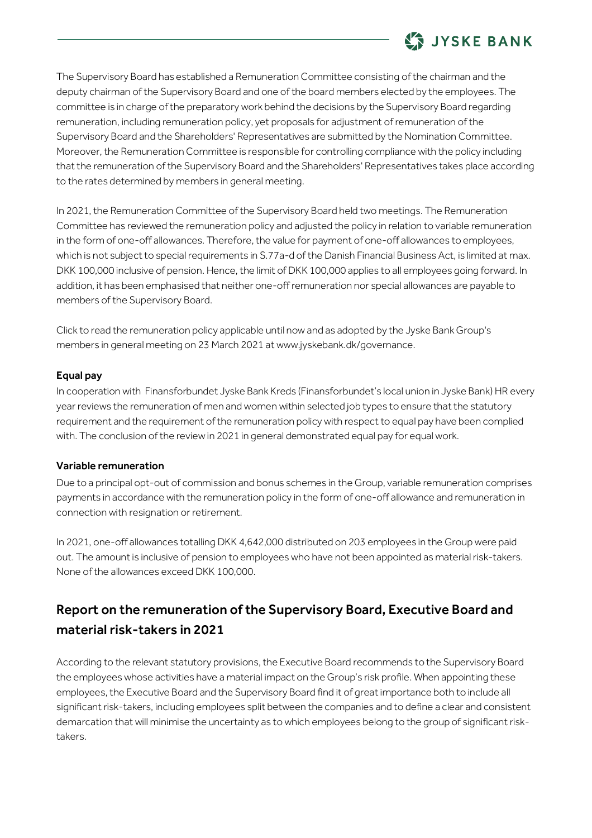

The Supervisory Board has established a Remuneration Committee consisting of the chairman and the deputy chairman of the Supervisory Board and one of the board members elected by the employees. The committee is in charge of the preparatory work behind the decisions by the Supervisory Board regarding remuneration, including remuneration policy, yet proposals for adjustment of remuneration of the Supervisory Board and the Shareholders' Representatives are submitted by the Nomination Committee. Moreover, the Remuneration Committee is responsible for controlling compliance with the policy including that the remuneration of the Supervisory Board and the Shareholders' Representatives takes place according to the rates determined by members in general meeting.

In 2021, the Remuneration Committee of the Supervisory Board held two meetings. The Remuneration Committee has reviewed the remuneration policy and adjusted the policy in relation to variable remuneration in the form of one-off allowances. Therefore, the value for payment of one-off allowances to employees, which is not subject to special requirements in S.77a-d of the Danish Financial Business Act, is limited at max. DKK 100,000 inclusive of pension. Hence, the limit of DKK 100,000 applies to all employees going forward. In addition, it has been emphasised that neither one-off remuneration nor special allowances are payable to members of the Supervisory Board.

Click to read the remuneration policy applicable until now and as adopted by the Jyske Bank Group's members in general meeting on 23 March 2021 at www.jyskebank.dk/governance.

### Equal pay

In cooperation with Finansforbundet Jyske Bank Kreds (Finansforbundet's local union in Jyske Bank) HR every year reviews the remuneration of men and women within selected job types to ensure that the statutory requirement and the requirement of the remuneration policy with respect to equal pay have been complied with. The conclusion of the review in 2021 in general demonstrated equal pay for equal work.

#### Variable remuneration

Due to a principal opt-out of commission and bonus schemes in the Group, variable remuneration comprises payments in accordance with the remuneration policy in the form of one-off allowance and remuneration in connection with resignation or retirement.

In 2021, one-off allowances totalling DKK 4,642,000 distributed on 203 employees in the Group were paid out. The amount is inclusive of pension to employees who have not been appointed as material risk-takers. None of the allowances exceed DKK 100,000.

# Report on the remuneration of the Supervisory Board, Executive Board and material risk-takers in 2021

According to the relevant statutory provisions, the Executive Board recommends to the Supervisory Board the employees whose activities have a material impact on the Group's risk profile. When appointing these employees, the Executive Board and the Supervisory Board find it of great importance both to include all significant risk-takers, including employees split between the companies and to define a clear and consistent demarcation that will minimise the uncertainty as to which employees belong to the group of significant risktakers.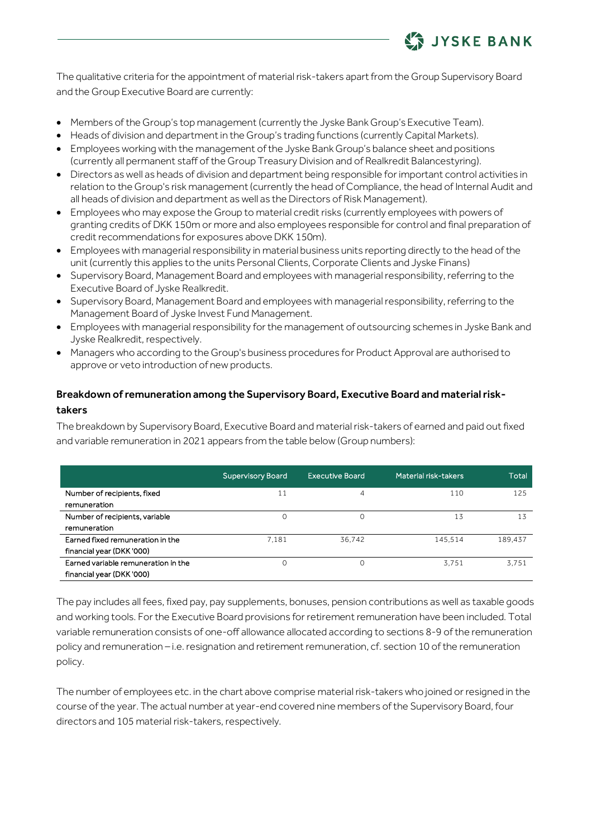

The qualitative criteria for the appointment of material risk-takers apart from the Group Supervisory Board and the Group Executive Board are currently:

- Members of the Group's top management (currently the Jyske Bank Group's Executive Team).
- Heads of division and department in the Group's trading functions (currently Capital Markets).
- Employees working with the management of the Jyske Bank Group's balance sheet and positions (currently all permanent staff of the Group Treasury Division and of Realkredit Balancestyring).
- Directors as well as heads of division and department being responsible for important control activities in relation to the Group's risk management (currently the head of Compliance, the head of Internal Audit and all heads of division and department as well as the Directors of Risk Management).
- Employees who may expose the Group to material credit risks (currently employees with powers of granting credits of DKK 150m or more and also employees responsible for control and final preparation of credit recommendations for exposures above DKK 150m).
- Employees with managerial responsibility in material business units reporting directly to the head of the unit (currently this applies to the units Personal Clients, Corporate Clients and Jyske Finans)
- Supervisory Board, Management Board and employees with managerial responsibility, referring to the Executive Board of Jyske Realkredit.
- Supervisory Board, Management Board and employees with managerial responsibility, referring to the Management Board of Jyske Invest Fund Management.
- Employees with managerial responsibility for the management of outsourcing schemes in Jyske Bank and Jyske Realkredit, respectively.
- Managers who according to the Group's business procedures for Product Approval are authorised to approve or veto introduction of new products.

### Breakdown of remuneration among the Supervisory Board, Executive Board and material risktakers

The breakdown by Supervisory Board, Executive Board and material risk-takers of earned and paid out fixed and variable remuneration in 2021 appears from the table below (Group numbers):

|                                     | <b>Supervisory Board</b> | <b>Executive Board</b> | Material risk-takers | Total   |
|-------------------------------------|--------------------------|------------------------|----------------------|---------|
| Number of recipients, fixed         | 11                       | $\overline{4}$         | 110                  | 125     |
| remuneration                        |                          |                        |                      |         |
| Number of recipients, variable      |                          |                        | 13                   | 13      |
| remuneration                        |                          |                        |                      |         |
| Earned fixed remuneration in the    | 7.181                    | 36,742                 | 145.514              | 189.437 |
| financial year (DKK '000)           |                          |                        |                      |         |
| Earned variable remuneration in the |                          |                        | 3.751                | 3.751   |
| financial year (DKK '000)           |                          |                        |                      |         |

The pay includes all fees, fixed pay, pay supplements, bonuses, pension contributions as well as taxable goods and working tools. For the Executive Board provisions for retirement remuneration have been included. Total variable remuneration consists of one-off allowance allocated according to sections 8-9 of the remuneration policy and remuneration – i.e. resignation and retirement remuneration, cf. section 10 of the remuneration policy.

The number of employees etc. in the chart above comprise material risk-takers who joined or resigned in the course of the year. The actual number at year-end covered nine members of the Supervisory Board, four directors and 105 material risk-takers, respectively.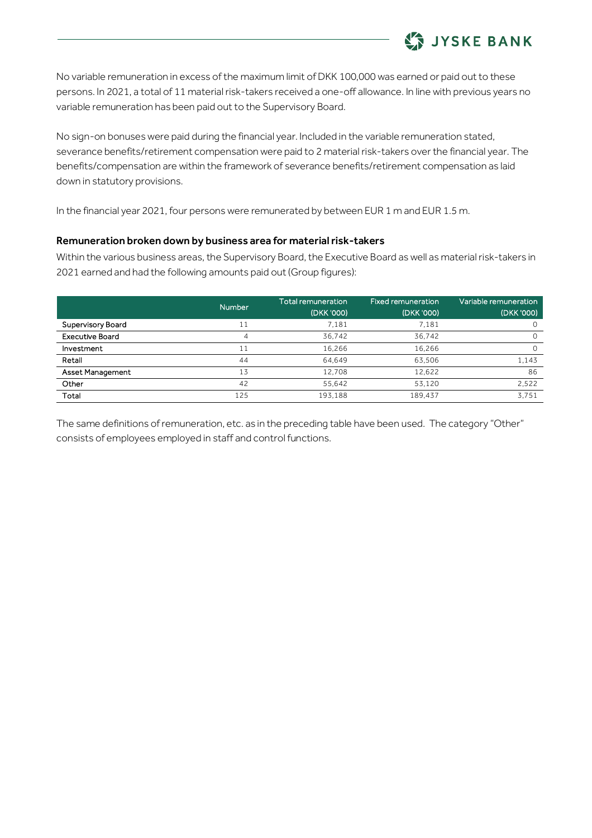

No variable remuneration in excess of the maximum limit of DKK 100,000 was earned or paid out to these persons. In 2021, a total of 11 material risk-takers received a one-off allowance. In line with previous years no variable remuneration has been paid out to the Supervisory Board.

No sign-on bonuses were paid during the financial year. Included in the variable remuneration stated, severance benefits/retirement compensation were paid to 2 material risk-takers over the financial year. The benefits/compensation are within the framework of severance benefits/retirement compensation as laid down in statutory provisions.

In the financial year 2021, four persons were remunerated by between EUR 1 m and EUR 1.5 m.

### Remuneration broken down by business area for material risk-takers

Within the various business areas, the Supervisory Board, the Executive Board as well as material risk-takers in 2021 earned and had the following amounts paid out (Group figures):

|                        | <b>Number</b> | <b>Total remuneration</b><br>(DKK '000) | <b>Fixed remuneration</b><br>(DKK '000) | Variable remuneration<br>(DKK '000) |
|------------------------|---------------|-----------------------------------------|-----------------------------------------|-------------------------------------|
| Supervisory Board      | 11            | 7.181                                   | 7.181                                   |                                     |
| <b>Executive Board</b> | 4             | 36.742                                  | 36.742                                  | 0                                   |
| Investment             |               | 16,266                                  | 16,266                                  |                                     |
| Retail                 | 44            | 64.649                                  | 63.506                                  | 1.143                               |
| Asset Management       | 13            | 12.708                                  | 12,622                                  | 86                                  |
| Other                  | 42            | 55.642                                  | 53.120                                  | 2.522                               |
| Total                  | 125           | 193,188                                 | 189,437                                 | 3.751                               |

The same definitions of remuneration, etc. as in the preceding table have been used. The category "Other" consists of employees employed in staff and control functions.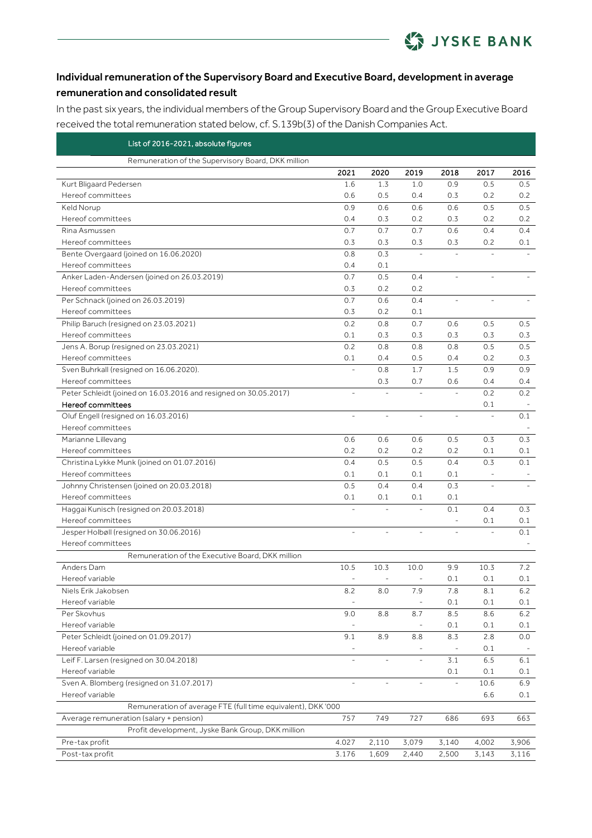

## Individual remuneration of the Supervisory Board and Executive Board, development in average remuneration and consolidated result

In the past six years, the individual members of the Group Supervisory Board and the Group Executive Board received the total remuneration stated below, cf. S.139b(3) of the Danish Companies Act.

| List of 2016-2021, absolute figures                              |           |                          |                          |                          |                |         |
|------------------------------------------------------------------|-----------|--------------------------|--------------------------|--------------------------|----------------|---------|
| Remuneration of the Supervisory Board, DKK million               |           |                          |                          |                          |                |         |
|                                                                  | 2021      | 2020                     | 2019                     | 2018                     | 2017           | 2016    |
| Kurt Bligaard Pedersen                                           | 1.6       | 1.3                      | 1.0                      | 0.9                      | 0.5            | 0.5     |
| Hereof committees                                                | 0.6       | 0.5                      | 0.4                      | 0.3                      | 0.2            | 0.2     |
| Keld Norup                                                       | 0.9       | 0.6                      | 0.6                      | 0.6                      | 0.5            | 0.5     |
| Hereof committees                                                | 0.4       | 0.3                      | 0.2                      | 0.3                      | 0.2            | 0.2     |
| Rina Asmussen                                                    | 0.7       | 0.7                      | 0.7                      | 0.6                      | 0.4            | 0.4     |
| Hereof committees                                                | 0.3       | 0.3                      | 0.3                      | 0.3                      | 0.2            | 0.1     |
| Bente Overgaard (joined on 16.06.2020)                           | 0.8       | 0.3                      |                          |                          |                |         |
| Hereof committees                                                | 0.4       | 0.1                      |                          |                          |                |         |
| Anker Laden-Andersen (joined on 26.03.2019)                      | 0.7       | 0.5                      | 0.4                      | L,                       |                |         |
| Hereof committees                                                | 0.3       | 0.2                      | 0.2                      |                          |                |         |
| Per Schnack (joined on 26.03.2019)                               | 0.7       | 0.6                      | 0.4                      |                          |                |         |
| Hereof committees                                                | 0.3       | 0.2                      | 0.1                      |                          |                |         |
| Philip Baruch (resigned on 23.03.2021)                           | 0.2       | 0.8                      | 0.7                      | 0.6                      | 0.5            | 0.5     |
| Hereof committees                                                | 0.1       | 0.3                      | 0.3                      | 0.3                      | 0.3            | 0.3     |
| Jens A. Borup (resigned on 23.03.2021)                           | 0.2       | 0.8                      | 0.8                      | 0.8                      | 0.5            | 0.5     |
| Hereof committees                                                | 0.1       | 0.4                      | 0.5                      | 0.4                      | 0.2            | 0.3     |
| Sven Buhrkall (resigned on 16.06.2020).                          |           | 0.8                      | 1.7                      | 1.5                      | 0.9            | 0.9     |
| Hereof committees                                                |           | 0.3                      | 0.7                      | 0.6                      | 0.4            | 0.4     |
| Peter Schleidt (joined on 16.03.2016 and resigned on 30.05.2017) | $\bar{ }$ | L,                       | $\overline{\phantom{a}}$ | $\overline{\phantom{a}}$ | 0.2            | 0.2     |
| Hereof committees                                                |           |                          |                          |                          | 0.1            |         |
| Oluf Engell (resigned on 16.03.2016)                             | ÷,        | ÷,                       | $\qquad \qquad -$        | $\overline{\phantom{a}}$ |                | 0.1     |
| Hereof committees                                                |           |                          |                          |                          |                |         |
| Marianne Lillevang                                               | 0.6       | 0.6                      | 0.6                      | 0.5                      | 0.3            | 0.3     |
| Hereof committees                                                | 0.2       | 0.2                      | 0.2                      | 0.2                      | 0.1            | 0.1     |
| Christina Lykke Munk (joined on 01.07.2016)                      | 0.4       | 0.5                      | 0.5                      | 0.4                      | 0.3            | 0.1     |
| Hereof committees                                                | 0.1       | 0.1                      | 0.1                      | 0.1                      |                |         |
| Johnny Christensen (joined on 20.03.2018)                        | 0.5       | 0.4                      | 0.4                      | 0.3                      |                |         |
| Hereof committees                                                | 0.1       | 0.1                      | 0.1                      | 0.1                      |                |         |
| Haggai Kunisch (resigned on 20.03.2018)                          |           |                          | $\overline{\phantom{a}}$ | 0.1                      | 0.4            | 0.3     |
| Hereof committees                                                |           |                          |                          |                          | 0.1            | 0.1     |
| Jesper Holbøll (resigned on 30.06.2016)                          | L.        | $\overline{a}$           | $\overline{\phantom{a}}$ | $\overline{\phantom{a}}$ | $\overline{a}$ | 0.1     |
| Hereof committees                                                |           |                          |                          |                          |                |         |
| Remuneration of the Executive Board, DKK million                 |           |                          |                          |                          |                |         |
| Anders Dam                                                       | 10.5      | 10.3                     | 10.0                     | 9.9                      | 10.3           | 7.2     |
| Hereof variable                                                  |           | $\overline{\phantom{0}}$ | $\overline{\phantom{a}}$ | 0.1                      | 0.1            | 0.1     |
| Niels Erik Jakobsen                                              | 8.2       | 8.0                      | 7.9                      | 7.8                      | 8.1            | $6.2\,$ |
| Hereof variable                                                  |           |                          |                          | 0.1                      | 0.1            | 0.1     |
| Per Skovhus                                                      | 9.0       | 8.8                      | 8.7                      | 8.5                      | 8.6            | $6.2$   |
| Hereof variable                                                  |           |                          | $\overline{\phantom{0}}$ | 0.1                      | 0.1            | 0.1     |
| Peter Schleidt (joined on 01.09.2017)                            | 9.1       | 8.9                      | 8.8                      | 8.3                      | 2.8            | 0.0     |
| Hereof variable                                                  | ÷         |                          |                          | $\overline{\phantom{a}}$ | 0.1            |         |
| Leif F. Larsen (resigned on 30.04.2018)                          |           | $\overline{a}$           |                          | 3.1                      | 6.5            | 6.1     |
| Hereof variable                                                  |           |                          |                          | 0.1                      | 0.1            | 0.1     |
| Sven A. Blomberg (resigned on 31.07.2017)                        | ÷         |                          |                          | $\bar{a}$                | 10.6           | 6.9     |
| Hereof variable                                                  |           |                          |                          |                          | 6.6            | 0.1     |
| Remuneration of average FTE (full time equivalent), DKK '000     |           |                          |                          |                          |                |         |
| Average remuneration (salary + pension)                          | 757       | 749                      | 727                      | 686                      | 693            | 663     |
| Profit development, Jyske Bank Group, DKK million                |           |                          |                          |                          |                |         |
| Pre-tax profit                                                   | 4.027     | 2,110                    | 3,079                    | 3,140                    | 4,002          | 3,906   |
| Post-tax profit                                                  | 3.176     | 1,609                    | 2,440                    | 2,500                    | 3,143          | 3,116   |
|                                                                  |           |                          |                          |                          |                |         |